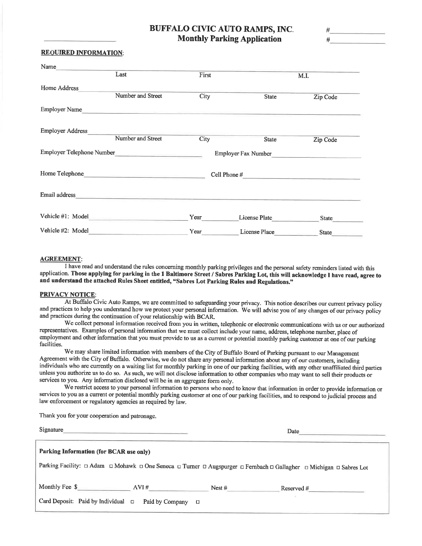# **BUFFALO CIVIC AUTO RAMPS, INC. Monthly Parking Application**

| ÷ |      |  |
|---|------|--|
|   | ____ |  |

### **REQUIRED INFORMATION:**

| Name                      |                                                                            |       |                     |              |
|---------------------------|----------------------------------------------------------------------------|-------|---------------------|--------------|
|                           | Last                                                                       | First |                     | M.I.         |
| Home Address              |                                                                            |       |                     |              |
|                           | Number and Street                                                          | City  | <b>State</b>        | Zip Code     |
| <b>Employer Name</b>      |                                                                            |       |                     |              |
| <b>Employer Address</b>   |                                                                            |       |                     |              |
|                           | Number and Street                                                          | City  | <b>State</b>        | Zip Code     |
| Employer Telephone Number | the company of the company of the                                          |       | Employer Fax Number |              |
| Home Telephone            |                                                                            |       | Cell Phone#         |              |
| Email address             | the control of the control of the control of the control of the control of |       |                     |              |
| Vehicle #1: Model         |                                                                            | Year  | License Plate       | <b>State</b> |
| Vehicle #2: Model         |                                                                            | Year  | License Place       | <b>State</b> |

## **AGREEMENT:**

I have read and understand the rules concerning monthly parking privileges and the personal safety reminders listed with this application. Those applying for parking in the 1 Baltimore Street / Sabres Parking Lot, this will acknowledge I have read, agree to and understand the attached Rules Sheet entitled, "Sabres Lot Parking Rules and Regulations."

#### **PRIVACY NOTICE:**

At Buffalo Civic Auto Ramps, we are committed to safeguarding your privacy. This notice describes our current privacy policy and practices to help you understand how we protect your personal information. We will advise you of any changes of our privacy policy and practices during the continuation of your relationship with BCAR.

We collect personal information received from you in written, telephonic or electronic communications with us or our authorized representatives. Examples of personal information that we must collect include your name, address, telephone number, place of employment and other information that you must provide to us as a current or potential monthly parking customer at one of our parking facilities.

We may share limited information with members of the City of Buffalo Board of Parking pursuant to our Management Agreement with the City of Buffalo. Otherwise, we do not share any personal information about any of our customers, including individuals who are currently on a waiting list for monthly parking in one of our parking facilities, with any other unaffiliated third parties unless you authorize us to do so. As such, we will not disclose information to other companies who may want to sell their products or services to you. Any information disclosed will be in an aggregate form only.

We restrict access to your personal information to persons who need to know that information in order to provide information or services to you as a current or potential monthly parking customer at one of our parking facilities, and to respond to judicial process and law enforcement or regulatory agencies as required by law.

Thank you for your cooperation and patronage.

| Signature                               |                 |          | Date                                                                                                                |  |  |
|-----------------------------------------|-----------------|----------|---------------------------------------------------------------------------------------------------------------------|--|--|
| Parking Information (for BCAR use only) |                 |          |                                                                                                                     |  |  |
|                                         |                 |          | Parking Facility: □ Adam □ Mohawk □ One Seneca □ Turner □ Augspurger □ Fernbach □ Gallagher □ Michigan □ Sabres Lot |  |  |
| Monthly Fee \$                          | AVI#            | Nest $#$ | Reserved #                                                                                                          |  |  |
| Card Deposit: Paid by Individual $\Box$ | Paid by Company | Ο        |                                                                                                                     |  |  |